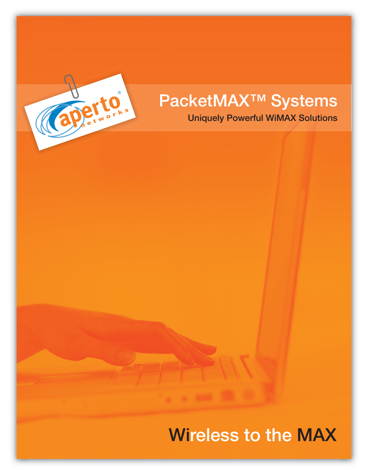

# **PacketMAX™ Systems**

**Uniquely Powerful WiMAX Solutions**

## **Wireless to the MAX**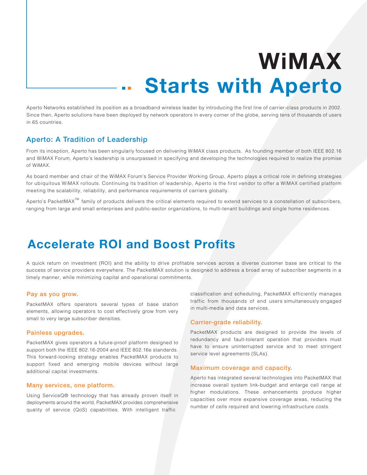# **Starts with Aperto WiMAX**

Aperto Networks established its position as a broadband wireless leader by introducing the first line of carrier-class products in 2002. Since then, Aperto solutions have been deployed by network operators in every corner of the globe, serving tens of thousands of users in 65 countries.

#### **Aperto: A Tradition of Leadership**

From its inception, Aperto has been singularly focused on delivering WiMAX class products. As founding member of both IEEE 802.16 and WiMAX Forum, Aperto's leadership is unsurpassed in specifying and developing the technologies required to realize the promise of WiMAX.

As board member and chair of the WiMAX Forum's Service Provider Working Group, Aperto plays a critical role in defining strategies for ubiquitous WiMAX rollouts. Continuing its tradition of leadership, Aperto is the first vendor to offer a WiMAX certified platform meeting the scalability, reliability, and performance requirements of carriers globally.

Aperto's PacketMAX $^{\text{\tiny{\textsf{TM}}}}$  family of products delivers the critical elements required to extend services to a constellation of subscribers, ranging from large and small enterprises and public-sector organizations, to multi-tenant buildings and single home residences.

## **Accelerate ROI and Boost Profits**

A quick return on investment (ROI) and the ability to drive profitable services across a diverse customer base are critical to the success of service providers everywhere. The PacketMAX solution is designed to address a broad array of subscriber segments in a timely manner, while minimizing capital and operational commitments.

#### **Pay as you grow.**

PacketMAX offers operators several types of base station elements, allowing operators to cost effectively grow from very small to very large subscriber densities.

#### **Painless upgrades.**

PacketMAX gives operators a future-proof platform designed to support both the IEEE 802.16-2004 and IEEE 802.16e standards. This forward-looking strategy enables PacketMAX products to support fixed and emerging mobile devices without large additional capital investments.

#### **Many services, one platform.**

Using ServiceQ® technology that has already proven itself in deployments around the world, PacketMAX provides comprehensive quality of service (QoS) capabilities. With intelligent traffic

classification and scheduling, PacketMAX efficiently manages traffic from thousands of end users simultaneously engaged in multi-media and data services.

#### **Carrier-grade reliability.**

PacketMAX products are designed to provide the levels of redundancy and fault-tolerant operation that providers must have to ensure uninterrupted service and to meet stringent service level agreements (SLAs).

#### **Maximum coverage and capacity.**

Aperto has integrated several technologies into PacketMAX that increase overall system link-budget and enlarge cell range at higher modulations. These enhancements produce higher capacities over more expansive coverage areas, reducing the number of cells required and lowering infrastructure costs.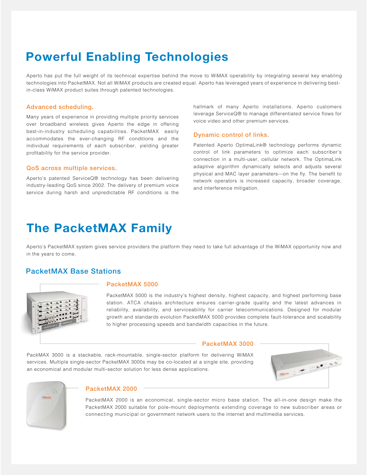## **Powerful Enabling Technologies**

Aperto has put the full weight of its technical expertise behind the move to WiMAX operability by integrating several key enabling technologies into PacketMAX. Not all WiMAX products are created equal. Aperto has leveraged years of experience in delivering bestin-class WiMAX product suites through patented technologies.

#### **Advanced scheduling.**

Many years of experience in providing multiple priority services over broadband wireless gives Aperto the edge in offering best-in-industry scheduling capabilities. PacketMAX easily accommodates the ever-changing RF conditions and the individual requirements of each subscriber, yielding greater profitability for the service provider.

#### **QoS across multiple services.**

Aperto's patented ServiceQ® technology has been delivering industry-leading QoS since 2002. The delivery of premium voice service during harsh and unpredictable RF conditions is the hallmark of many Aperto installations. Aperto customers leverage ServiceQ® to manage differentiated service flows for voice video and other premium services.

#### **Dynamic control of links.**

Patented Aperto OptimaLink® technology performs dynamic control of link parameters to optimize each subscriber's connection in a multi-user, cellular network. The OptimaLink adaptive algorithm dynamically selects and adjusts several physical and MAC layer parameters—on the fly. The benefit to network operators is increased capacity, broader coverage, and interference mitigation.

## **The PacketMAX Family**

Aperto's PacketMAX system gives service providers the platform they need to take full advantage of the WiMAX opportunity now and in the years to come.

#### **PacketMAX Base Stations**



#### **PacketMAX 5000**

PacketMAX 5000 is the industry's highest density, highest capacity, and highest performing base station. ATCA chassis architecture ensures carrier-grade quality and the latest advances in reliability, availability, and serviceability for carrier telecommunications. Designed for modular growth and standards evolution PacketMAX 5000 provides complete fault-tolerance and scalability to higher processing speeds and bandwidth capacities in the future.

#### **PacketMAX 3000**

PackMAX 3000 is a stackable, rack-mountable, single-sector platform for delivering WiMAX services. Multiple single-sector PacketMAX 3000s may be co-located at a single site, providing an economical and modular multi-sector solution for less dense applications.





#### **PacketMAX 2000**

PacketMAX 2000 is an economical, single-sector micro base station. The all-in-one design make the PacketMAX 2000 suitable for pole-mount deployments extending coverage to new subscriber areas or connecting municipal or government network users to the internet and multimedia services.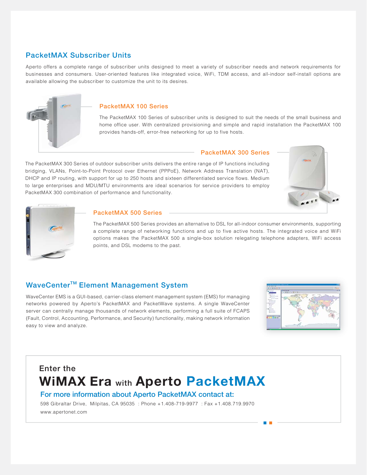#### **PacketMAX Subscriber Units**

Aperto offers a complete range of subscriber units designed to meet a variety of subscriber needs and network requirements for businesses and consumers. User-oriented features like integrated voice, WiFi, TDM access, and all-indoor self-install options are available allowing the subscriber to customize the unit to its desires.



#### **PacketMAX 100 Series**

The PacketMAX 100 Series of subscriber units is designed to suit the needs of the small business and home office user. With centralized provisioning and simple and rapid installation the PacketMAX 100 provides hands-off, error-free networking for up to five hosts.

#### **PacketMAX 300 Series**

The PacketMAX 300 Series of outdoor subscriber units delivers the entire range of IP functions including bridging, VLANs, Point-to-Point Protocol over Ethernet (PPPoE), Network Address Translation (NAT), DHCP and IP routing, with support for up to 250 hosts and sixteen differentiated service flows. Medium to large enterprises and MDU/MTU environments are ideal scenarios for service providers to employ PacketMAX 300 combination of performance and functionality.





#### **PacketMAX 500 Series**

The PacketMAX 500 Series provides an alternative to DSL for all-indoor consumer environments, supporting a complete range of networking functions and up to five active hosts. The integrated voice and WiFi options makes the PacketMAX 500 a single-box solution relegating telephone adapters, WiFi access points, and DSL modems to the past.

#### **WaveCenter™ Element Management System**

WaveCenter EMS is a GUI-based, carrier-class element management system (EMS) for managing networks powered by Aperto's PacketMAX and PacketWave systems. A single WaveCenter server can centrally manage thousands of network elements, performing a full suite of FCAPS (Fault, Control, Accounting, Performance, and Security) functionality, making network information easy to view and analyze.



## **Enter the WiMAX Era with Aperto PacketMAX**

#### **For more information about Aperto PacketMAX contact at:**

598 Gibraltar Drive, Milpitas, CA 95035 : Phone +1.408-719-9977 : Fax +1.408.719.9970 www.apertonet.com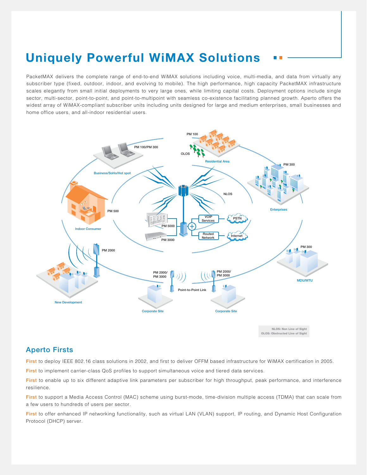## **Uniquely Powerful WiMAX Solutions**

PacketMAX delivers the complete range of end-to-end WiMAX solutions including voice, multi-media, and data from virtually any subscriber type (fixed, outdoor, indoor, and evolving to mobile). The high performance, high capacity PacketMAX infrastructure scales elegantly from small initial deployments to very large ones, while limiting capital costs. Deployment options include single sector, multi-sector, point-to-point, and point-to-multipoint with seamless co-existence facilitating planned growth. Aperto offers the widest array of WiMAX-compliant subscriber units including units designed for large and medium enterprises, small businesses and home office users, and all-indoor residential users.



#### **Aperto Firsts**

**First** to deploy IEEE 802.16 class solutions in 2002, and first to deliver OFFM based infrastructure for WiMAX certification in 2005.

**First** to implement carrier-class QoS profiles to support simultaneous voice and tiered data services.

**First** to enable up to six different adaptive link parameters per subscriber for high throughput, peak performance, and interference resilience.

**First** to support a Media Access Control (MAC) scheme using burst-mode, time-division multiple access (TDMA) that can scale from a few users to hundreds of users per sector.

**First** to offer enhanced IP networking functionality, such as virtual LAN (VLAN) support, IP routing, and Dynamic Host Configuration Protocol (DHCP) server.